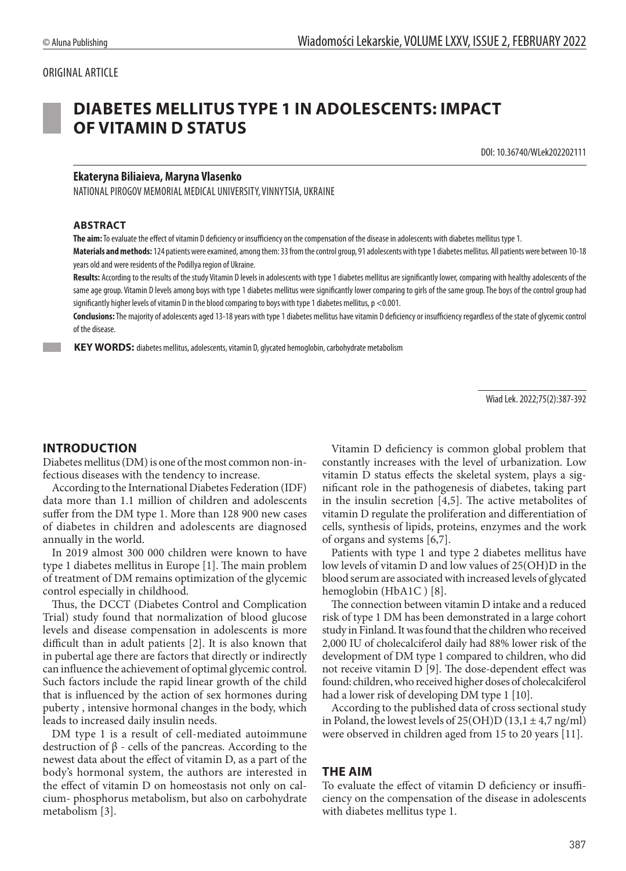#### ORIGINAL ARTICLE



# **DIABETES MELLITUS TYPE 1 IN ADOLESCENTS: IMPACT OF VITAMIN D STATUS**

DOI: 10.36740/WLek202202111

#### **Ekateryna Biliaieva, Maryna Vlasenko**

NATIONAL PIROGOV MEMORIAL MEDICAL UNIVERSITY, VINNYTSIA, UKRAINE

#### **ABSTRACT**

**The aim:** To evaluate the effect of vitamin D deficiency or insufficiency on the compensation of the disease in adolescents with diabetes mellitus type 1.

**Materials and methods:** 124 patients were examined, among them: 33 from the control group, 91 adolescents with type 1 diabetes mellitus. All patients were between 10-18 years old and were residents of the Podillya region of Ukraine.

**Results:** According to the results of the study Vitamin D levels in adolescents with type 1 diabetes mellitus are significantly lower, comparing with healthy adolescents of the same age group. Vitamin D levels among boys with type 1 diabetes mellitus were significantly lower comparing to girls of the same group. The boys of the control group had significantly higher levels of vitamin D in the blood comparing to boys with type 1 diabetes mellitus, p <0.001.

**Conclusions:** The majority of adolescents aged 13-18 years with type 1 diabetes mellitus have vitamin D deficiency or insufficiency regardless of the state of glycemic control of the disease.

 **KEY WORDS:** diabetes mellitus, adolescents, vitamin D, glycated hemoglobin, carbohydrate metabolism

Wiad Lek. 2022;75(2):387-392

# **INTRODUCTION**

Diabetes mellitus (DM) is one of the most common non-infectious diseases with the tendency to increase.

According to the International Diabetes Federation (IDF) data more than 1.1 million of children and adolescents suffer from the DM type 1. More than 128 900 new cases of diabetes in children and adolescents are diagnosed annually in the world.

In 2019 almost 300 000 children were known to have type 1 diabetes mellitus in Europe [1]. The main problem of treatment of DM remains optimization of the glycemic control especially in childhood.

Thus, the DCCT (Diabetes Control and Complication Trial) study found that normalization of blood glucose levels and disease compensation in adolescents is more difficult than in adult patients [2]. It is also known that in pubertal age there are factors that directly or indirectly can influence the achievement of optimal glycemic control. Such factors include the rapid linear growth of the child that is influenced by the action of sex hormones during puberty , intensive hormonal changes in the body, which leads to increased daily insulin needs.

DM type 1 is a result of cell-mediated autoimmune destruction of β - cells of the pancreas. According to the newest data about the effect of vitamin D, as a part of the body's hormonal system, the authors are interested in the effect of vitamin D on homeostasis not only on calcium- phosphorus metabolism, but also on carbohydrate metabolism [3].

Vitamin D deficiency is common global problem that constantly increases with the level of urbanization. Low vitamin D status effects the skeletal system, plays a significant role in the pathogenesis of diabetes, taking part in the insulin secretion [4,5]. The active metabolites of vitamin D regulate the proliferation and differentiation of cells, synthesis of lipids, proteins, enzymes and the work of organs and systems [6,7].

Patients with type 1 and type 2 diabetes mellitus have low levels of vitamin D and low values of 25(OH)D in the blood serum are associated with increased levels of glycated hemoglobin (HbA1C) [8].

The connection between vitamin D intake and a reduced risk of type 1 DM has been demonstrated in a large cohort study in Finland. It was found that the children who received 2,000 IU of cholecalciferol daily had 88% lower risk of the development of DM type 1 compared to children, who did not receive vitamin D [9]. The dose-dependent effect was found: children, who received higher doses of cholecalciferol had a lower risk of developing DM type 1 [10].

According to the published data of cross sectional study in Poland, the lowest levels of  $25(OH)D(13,1 \pm 4,7 \text{ ng/ml})$ were observed in children aged from 15 to 20 years [11].

#### **THE AIM**

To evaluate the effect of vitamin D deficiency or insufficiency on the compensation of the disease in adolescents with diabetes mellitus type 1.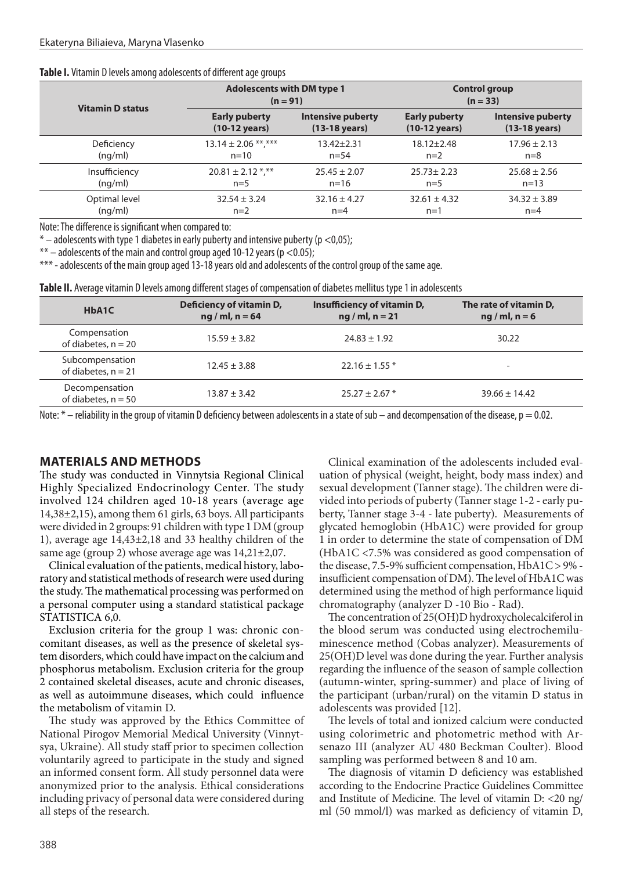#### **Table I.** Vitamin D levels among adolescents of different age groups

| <b>Vitamin D status</b> | <b>Adolescents with DM type 1</b><br>$(n = 91)$ |                                                                         | <b>Control group</b><br>$(n = 33)$              |                                                     |
|-------------------------|-------------------------------------------------|-------------------------------------------------------------------------|-------------------------------------------------|-----------------------------------------------------|
|                         | <b>Early puberty</b><br>$(10-12 \text{ years})$ | <b>Intensive puberty</b><br>$(13-18 \text{ years})$<br>$13.42 \pm 2.31$ | <b>Early puberty</b><br>$(10-12 \text{ years})$ | <b>Intensive puberty</b><br>$(13-18 \text{ years})$ |
| Deficiency              | $13.14 \pm 2.06$ **,***                         | $n = 54$                                                                | $18.12 \pm 2.48$                                | $17.96 \pm 2.13$                                    |
| (nq/ml)                 | $n = 10$                                        |                                                                         | $n=2$                                           | $n=8$                                               |
| Insufficiency           | $20.81 \pm 2.12$ *,**                           | $25.45 \pm 2.07$                                                        | $25.73 \pm 2.23$                                | $25.68 \pm 2.56$                                    |
| (nq/ml)                 | $n=5$                                           | $n = 16$                                                                | $n=5$                                           | $n = 13$                                            |
| Optimal level           | $32.54 \pm 3.24$                                | $32.16 \pm 4.27$                                                        | $32.61 \pm 4.32$                                | $34.32 \pm 3.89$                                    |
| (nq/ml)                 | $n=2$                                           | $n=4$                                                                   | $n=1$                                           | $n=4$                                               |

Note: The difference is significant when compared to:

 $*$  – adolescents with type 1 diabetes in early puberty and intensive puberty ( $p$  <0,05);

 $**$  – adolescents of the main and control group aged 10-12 years (p <0.05);

\*\*\* - adolescents of the main group aged 13-18 years old and adolescents of the control group of the same age.

**Table II.** Average vitamin D levels among different stages of compensation of diabetes mellitus type 1 in adolescents

| HbA1C                                    | Deficiency of vitamin D,<br>$ng$ / ml, n = 64 | Insufficiency of vitamin D,<br>$ng$ / ml, n = 21 | The rate of vitamin D,<br>$ng/ml, n = 6$ |
|------------------------------------------|-----------------------------------------------|--------------------------------------------------|------------------------------------------|
| Compensation<br>of diabetes, $n = 20$    | $15.59 \pm 3.82$                              | $24.83 \pm 1.92$                                 | 30.22                                    |
| Subcompensation<br>of diabetes, $n = 21$ | $12.45 \pm 3.88$                              | $22.16 \pm 1.55$ *                               | $\overline{\phantom{a}}$                 |
| Decompensation<br>of diabetes, $n = 50$  | $13.87 \pm 3.42$                              | $25.27 \pm 2.67$ *                               | $39.66 \pm 14.42$                        |

Note:  $*$  – reliability in the group of vitamin D deficiency between adolescents in a state of sub – and decompensation of the disease,  $p = 0.02$ .

# **MATERIALS AND METHODS**

The study was conducted in Vinnytsia Regional Clinical Highly Specialized Endocrinology Center. The study involved 124 children aged 10-18 years (average age 14,38±2,15), among them 61 girls, 63 boys. All participants were divided in 2 groups: 91 children with type 1 DM (group 1), average age 14,43±2,18 and 33 healthy children of the same age (group 2) whose average age was 14,21±2,07.

Clinical evaluation of the patients, medical history, laboratory and statistical methods of research were used during the study. The mathematical processing was performed on a personal computer using a standard statistical package STATISTICA 6,0.

Exclusion criteria for the group 1 was: chronic concomitant diseases, as well as the presence of skeletal system disorders, which could have impact on the calcium and phosphorus metabolism. Exclusion criteria for the group 2 contained skeletal diseases, acute and chronic diseases, as well as autoimmune diseases, which could influence the metabolism of vitamin D.

The study was approved by the Ethics Committee of National Pirogov Memorial Medical University (Vinnytsya, Ukraine). All study staff prior to specimen collection voluntarily agreed to participate in the study and signed an informed consent form. All study personnel data were anonymized prior to the analysis. Ethical considerations including privacy of personal data were considered during all steps of the research.

Clinical examination of the adolescents included evaluation of physical (weight, height, body mass index) and sexual development (Tanner stage). The children were divided into periods of puberty (Tanner stage 1-2 - early puberty, Tanner stage 3-4 - late puberty). Measurements of glycated hemoglobin (HbA1C) were provided for group 1 in order to determine the state of compensation of DM (HbA1C <7.5% was considered as good compensation of the disease, 7.5-9% sufficient compensation, HbA1C > 9% insufficient compensation of DM). The level of HbA1C was determined using the method of high performance liquid chromatography (analyzer D -10 Bio - Rad).

The concentration of 25(OH)D hydroxycholecalciferol in the blood serum was conducted using electrochemiluminescence method (Cobas analyzer). Measurements of 25(OH)D level was done during the year. Further analysis regarding the influence of the season of sample collection (autumn-winter, spring-summer) and place of living of the participant (urban/rural) on the vitamin D status in adolescents was provided [12].

The levels of total and ionized calcium were conducted using colorimetric and photometric method with Arsenazo III (analyzer AU 480 Beckman Coulter). Blood sampling was performed between 8 and 10 am.

The diagnosis of vitamin D deficiency was established according to the Endocrine Practice Guidelines Committee and Institute of Medicine. The level of vitamin D: <20 ng/ ml (50 mmol/l) was marked as deficiency of vitamin D,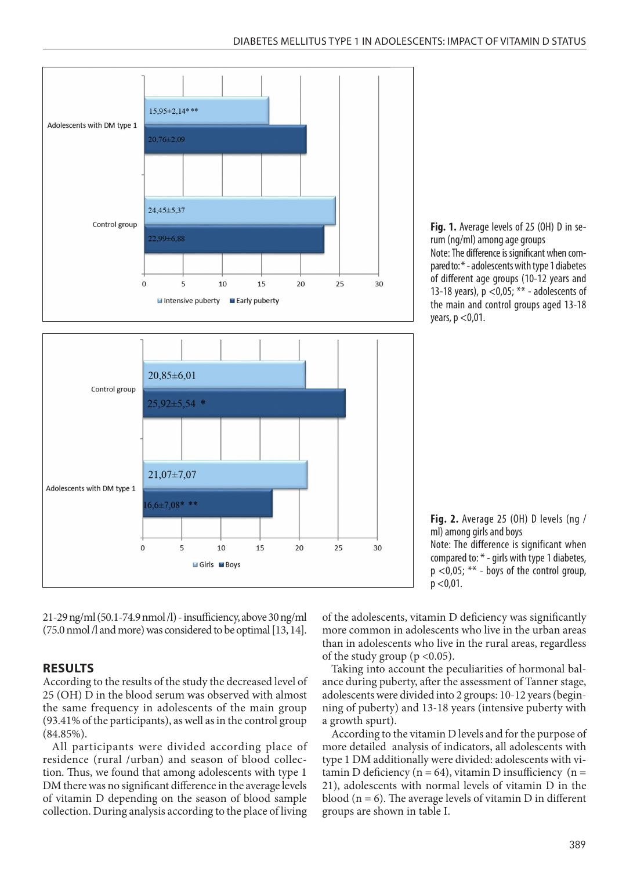



**Fig. 1.** Average levels of 25 (OH) D in serum (ng/ml) among age groups Note: The difference is significant when compared to: \* - adolescents with type 1 diabetes of different age groups (10-12 years and 13-18 years),  $p < 0.05$ ; \*\* - adolescents of the main and control groups aged 13-18 years,  $p < 0.01$ .

**Fig. 2.** Average 25 (OH) D levels (ng / ml) among girls and boys Note: The difference is significant when compared to: \* - girls with type 1 diabetes, p <0,05; \*\* - boys of the control group,  $p < 0.01$ .

21-29 ng/ml (50.1-74.9 nmol /l) - insufficiency, above 30 ng/ml (75.0 nmol /l and more) was considered to be optimal [13, 14].

# **RESULTS**

According to the results of the study the decreased level of 25 (OH) D in the blood serum was observed with almost the same frequency in adolescents of the main group (93.41% of the participants), as well as in the control group (84.85%).

All participants were divided according place of residence (rural /urban) and season of blood collection. Thus, we found that among adolescents with type 1 DM there was no significant difference in the average levels of vitamin D depending on the season of blood sample collection. During analysis according to the place of living of the adolescents, vitamin D deficiency was significantly more common in adolescents who live in the urban areas than in adolescents who live in the rural areas, regardless of the study group ( $p < 0.05$ ).

Taking into account the peculiarities of hormonal balance during puberty, after the assessment of Tanner stage, adolescents were divided into 2 groups: 10-12 years (beginning of puberty) and 13-18 years (intensive puberty with a growth spurt).

According to the vitamin D levels and for the purpose of more detailed analysis of indicators, all adolescents with type 1 DM additionally were divided: adolescents with vitamin D deficiency ( $n = 64$ ), vitamin D insufficiency ( $n =$ 21), adolescents with normal levels of vitamin D in the blood ( $n = 6$ ). The average levels of vitamin D in different groups are shown in table I.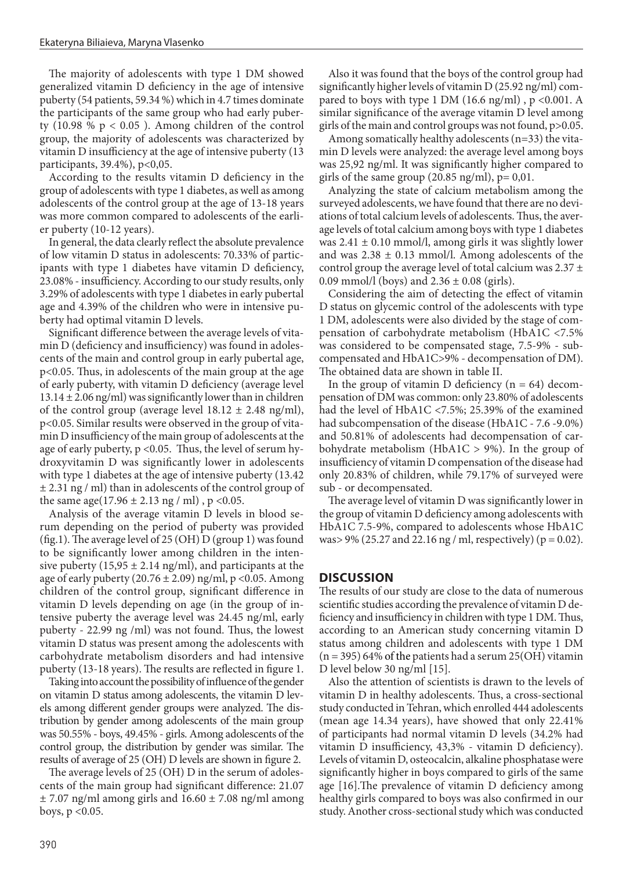The majority of adolescents with type 1 DM showed generalized vitamin D deficiency in the age of intensive puberty (54 patients, 59.34 %) which in 4.7 times dominate the participants of the same group who had early puberty  $(10.98 % p < 0.05)$ . Among children of the control group, the majority of adolescents was characterized by vitamin D insufficiency at the age of intensive puberty (13 participants, 39.4%), p<0,05.

According to the results vitamin D deficiency in the group of adolescents with type 1 diabetes, as well as among adolescents of the control group at the age of 13-18 years was more common compared to adolescents of the earlier puberty (10-12 years).

In general, the data clearly reflect the absolute prevalence of low vitamin D status in adolescents: 70.33% of participants with type 1 diabetes have vitamin D deficiency, 23.08% - insufficiency. According to our study results, only 3.29% of adolescents with type 1 diabetes in early pubertal age and 4.39% of the children who were in intensive puberty had optimal vitamin D levels.

Significant difference between the average levels of vitamin D (deficiency and insufficiency) was found in adolescents of the main and control group in early pubertal age, p<0.05. Thus, in adolescents of the main group at the age of early puberty, with vitamin D deficiency (average level  $13.14 \pm 2.06$  ng/ml) was significantly lower than in children of the control group (average level  $18.12 \pm 2.48$  ng/ml), p<0.05. Similar results were observed in the group of vitamin D insufficiency of the main group of adolescents at the age of early puberty, p <0.05. Thus, the level of serum hydroxyvitamin D was significantly lower in adolescents with type 1 diabetes at the age of intensive puberty (13.42  $\pm$  2.31 ng / ml) than in adolescents of the control group of the same age(17.96  $\pm$  2.13 ng / ml), p <0.05.

Analysis of the average vitamin D levels in blood serum depending on the period of puberty was provided (fig.1). The average level of 25 (OH) D (group 1) was found to be significantly lower among children in the intensive puberty (15,95  $\pm$  2.14 ng/ml), and participants at the age of early puberty (20.76  $\pm$  2.09) ng/ml, p <0.05. Among children of the control group, significant difference in vitamin D levels depending on age (in the group of intensive puberty the average level was 24.45 ng/ml, early puberty - 22.99 ng /ml) was not found. Thus, the lowest vitamin D status was present among the adolescents with carbohydrate metabolism disorders and had intensive puberty (13-18 years). The results are reflected in figure 1.

Taking into account the possibility of influence of the gender on vitamin D status among adolescents, the vitamin D levels among different gender groups were analyzed. The distribution by gender among adolescents of the main group was 50.55% - boys, 49.45% - girls. Among adolescents of the control group, the distribution by gender was similar. The results of average of 25 (OH) D levels are shown in figure 2.

The average levels of 25 (OH) D in the serum of adolescents of the main group had significant difference: 21.07  $\pm$  7.07 ng/ml among girls and 16.60  $\pm$  7.08 ng/ml among boys,  $p < 0.05$ .

Also it was found that the boys of the control group had significantly higher levels of vitamin D (25.92 ng/ml) compared to boys with type 1 DM (16.6 ng/ml),  $p < 0.001$ . A similar significance of the average vitamin D level among girls of the main and control groups was not found, p>0.05.

Among somatically healthy adolescents (n=33) the vitamin D levels were analyzed: the average level among boys was 25,92 ng/ml. It was significantly higher compared to girls of the same group  $(20.85 \text{ ng/ml})$ ,  $p = 0.01$ .

Analyzing the state of calcium metabolism among the surveyed adolescents, we have found that there are no deviations of total calcium levels of adolescents. Thus, the average levels of total calcium among boys with type 1 diabetes was  $2.41 \pm 0.10$  mmol/l, among girls it was slightly lower and was  $2.38 \pm 0.13$  mmol/l. Among adolescents of the control group the average level of total calcium was  $2.37 \pm$ 0.09 mmol/l (boys) and  $2.36 \pm 0.08$  (girls).

Considering the aim of detecting the effect of vitamin D status on glycemic control of the adolescents with type 1 DM, adolescents were also divided by the stage of compensation of carbohydrate metabolism (HbA1C <7.5% was considered to be compensated stage, 7.5-9% - subcompensated and HbA1C>9% - decompensation of DM). The obtained data are shown in table II.

In the group of vitamin D deficiency  $(n = 64)$  decompensation of DM was common: only 23.80% of adolescents had the level of HbA1C <7.5%; 25.39% of the examined had subcompensation of the disease (HbA1C - 7.6 -9.0%) and 50.81% of adolescents had decompensation of carbohydrate metabolism (HbA1C  $> 9\%$ ). In the group of insufficiency of vitamin D compensation of the disease had only 20.83% of children, while 79.17% of surveyed were sub - or decompensated.

The average level of vitamin D was significantly lower in the group of vitamin D deficiency among adolescents with HbA1C 7.5-9%, compared to adolescents whose HbA1C was > 9% (25.27 and 22.16 ng / ml, respectively) ( $p = 0.02$ ).

# **DISCUSSION**

The results of our study are close to the data of numerous scientific studies according the prevalence of vitamin D deficiency and insufficiency in children with type 1 DM. Thus, according to an American study concerning vitamin D status among children and adolescents with type 1 DM  $(n = 395)$  64% of the patients had a serum 25(OH) vitamin D level below 30 ng/ml [15].

Also the attention of scientists is drawn to the levels of vitamin D in healthy adolescents. Thus, a cross-sectional study conducted in Tehran, which enrolled 444 adolescents (mean age 14.34 years), have showed that only 22.41% of participants had normal vitamin D levels (34.2% had vitamin D insufficiency, 43,3% - vitamin D deficiency). Levels of vitamin D, osteocalcin, alkaline phosphatase were significantly higher in boys compared to girls of the same age [16].The prevalence of vitamin D deficiency among healthy girls compared to boys was also confirmed in our study.Another cross-sectional study which was conducted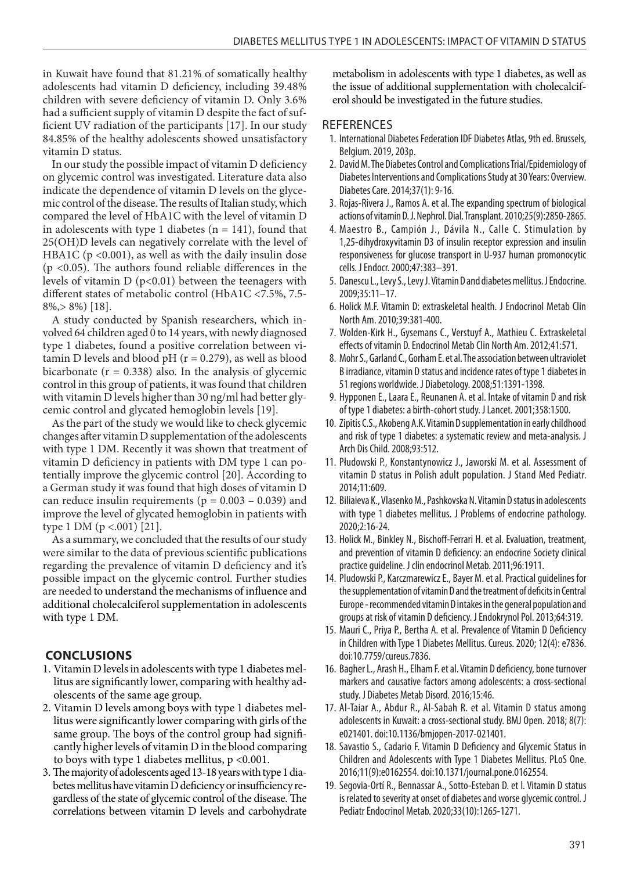in Kuwait have found that 81.21% of somatically healthy adolescents had vitamin D deficiency, including 39.48% children with severe deficiency of vitamin D. Only 3.6% had a sufficient supply of vitamin D despite the fact of sufficient UV radiation of the participants [17]. In our study 84.85% of the healthy adolescents showed unsatisfactory vitamin D status.

In our study the possible impact of vitamin D deficiency on glycemic control was investigated. Literature data also indicate the dependence of vitamin D levels on the glycemic control of the disease. The results of Italian study, which compared the level of HbA1C with the level of vitamin D in adolescents with type 1 diabetes ( $n = 141$ ), found that 25(OH)D levels can negatively correlate with the level of HBA1C ( $p \le 0.001$ ), as well as with the daily insulin dose (p <0.05). The authors found reliable differences in the levels of vitamin  $D$  ( $p<0.01$ ) between the teenagers with different states of metabolic control (HbA1C <7.5%, 7.5- 8%,> 8%) [18].

A study conducted by Spanish researchers, which involved 64 children aged 0 to 14 years, with newly diagnosed type 1 diabetes, found a positive correlation between vitamin D levels and blood  $pH$  ( $r = 0.279$ ), as well as blood bicarbonate ( $r = 0.338$ ) also. In the analysis of glycemic control in this group of patients, it was found that children with vitamin D levels higher than 30 ng/ml had better glycemic control and glycated hemoglobin levels [19].

As the part of the study we would like to check glycemic changes after vitamin D supplementation of the adolescents with type 1 DM. Recently it was shown that treatment of vitamin D deficiency in patients with DM type 1 can potentially improve the glycemic control [20]. According to a German study it was found that high doses of vitamin D can reduce insulin requirements ( $p = 0.003 - 0.039$ ) and improve the level of glycated hemoglobin in patients with type 1 DM ( $p < .001$ ) [21].

As a summary, we concluded that the results of our study were similar to the data of previous scientific publications regarding the prevalence of vitamin D deficiency and it's possible impact on the glycemic control. Further studies are needed to understand the mechanisms of influence and additional cholecalciferol supplementation in adolescents with type 1 DM.

# **CONCLUSIONS**

- 1. Vitamin D levels in adolescents with type 1 diabetes mellitus are significantly lower, comparing with healthy adolescents of the same age group.
- 2. Vitamin D levels among boys with type 1 diabetes mellitus were significantly lower comparing with girls of the same group. The boys of the control group had significantly higher levels of vitamin D in the blood comparing to boys with type 1 diabetes mellitus, p <0.001.
- 3. The majority of adolescents aged 13-18 years with type 1 diabetes mellitus have vitamin D deficiency or insufficiency regardless of the state of glycemic control of the disease. The correlations between vitamin D levels and carbohydrate

metabolism in adolescents with type 1 diabetes, as well as the issue of additional supplementation with cholecalciferol should be investigated in the future studies.

#### **REFERENCES**

- 1. International Diabetes Federation IDF Diabetes Atlas, 9th ed. Brussels, Belgium. 2019, 203р.
- 2. David M. The Diabetes Control and Complications Trial/Epidemiology of Diabetes Interventions and Complications Study at 30 Years: Overview. Diabetes Care. 2014;37(1): 9-16.
- 3. Rojas-Rivera J., Ramos A. et al. The expanding spectrum of biological actions of vitamin D. J. Nephrol. Dial. Transplant. 2010;25(9):2850-2865.
- 4. Maestro B., Campión J., Dávila N., Calle C. Stimulation by 1,25-dihydroxyvitamin D3 of insulin receptor expression and insulin responsiveness for glucose transport in U-937 human promonocytic cells. J Endocr. 2000;47:383–391.
- 5. Danescu L., Levy S., Levy J. Vitamin D and diabetes mellitus. J Endocrine. 2009;35:11–17.
- 6. Holick M.F. Vitamin D: extraskeletal health. J Endocrinol Metab Clin North Am. 2010;39:381-400.
- 7. Wolden-Kirk H., Gysemans C., Verstuyf A., Mathieu C. Extraskeletal effects of vitamin D. Endocrinol Metab Clin North Am. 2012;41:571.
- 8. Mohr S., Garland C., Gorham E. et al. The association between ultraviolet B irradiance, vitamin D status and incidence rates of type 1 diabetes in 51 regions worldwide. J Diabetology. 2008;51:1391-1398.
- 9. Hypponen E., Laara E., Reunanen A. et al. Intake of vitamin D and risk of type 1 diabetes: a birth-cohort study. J Lancet. 2001;358:1500.
- 10. Zipitis C.S., Akobeng A.K. Vitamin D supplementation in early childhood and risk of type 1 diabetes: a systematic review and meta-analysis. J Arch Dis Child. 2008;93:512.
- 11. Płudowski P., Konstantynowicz J., Jaworski M. et al. Assessment of vitamin D status in Polish adult population. J Stand Med Pediatr. 2014;11:609.
- 12. Biliaieva K., Vlasenko M., Pashkovska N. Vitamin D status in adolescents with type 1 diabetes mellitus. J Problems of endocrine pathology. 2020;2:16-24.
- 13. Holick M., Binkley N., Bischoff-Ferrari H. et al. Evaluation, treatment, and prevention of vitamin D deficiency: an endocrine Society clinical practice guideline. J clin endocrinol Metab. 2011;96:1911.
- 14. Pludowski P., Karczmarewicz E., Bayer M. et al. Practical guidelines for the supplementation of vitamin D and the treatment of deficits in Central Europe - recommended vitamin D intakes in the general population and groups at risk of vitamin D deficiency. J Endokrynol Pol. 2013;64:319.
- 15. Mauri C., Priya P., Bertha A. et al. Prevalence of Vitamin D Deficiency in Children with Type 1 Diabetes Mellitus. Cureus. 2020; 12(4): e7836. doi:10.7759/cureus.7836.
- 16. Bagher L., Arash H., Elham F. et al. Vitamin D deficiency, bone turnover markers and causative factors among adolescents: a cross-sectional study. J Diabetes Metab Disord. 2016;15:46.
- 17. Al-Taiar A., Abdur R., Al-Sabah R. et al. Vitamin D status among adolescents in Kuwait: a cross-sectional study. BMJ Open. 2018; 8(7): e021401. doi:10.1136/bmjopen-2017-021401.
- 18. Savastio S., Cadario F. Vitamin D Deficiency and Glycemic Status in Children and Adolescents with Type 1 Diabetes Mellitus. PLoS One. 2016;11(9):e0162554. doi:10.1371/journal.pone.0162554.
- 19. Segovia-Ortí R., Bennassar A., Sotto-Esteban D. et l. Vitamin D status is related to severity at onset of diabetes and worse glycemic control. J Pediatr Endocrinol Metab. 2020;33(10):1265-1271.